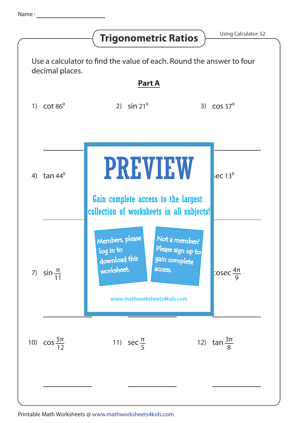